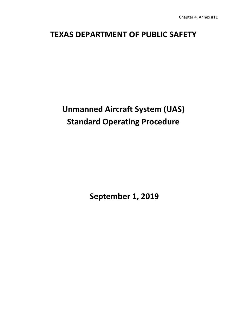# **TEXAS DEPARTMENT OF PUBLIC SAFETY**

# **Unmanned Aircraft System (UAS) Standard Operating Procedure**

**September 1, 2019**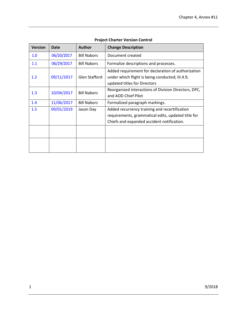| <b>Version</b> | Date       | <b>Author</b>        | <b>Change Description</b>                                                                                                             |
|----------------|------------|----------------------|---------------------------------------------------------------------------------------------------------------------------------------|
| 1.0            | 06/20/2017 | <b>Bill Nabors</b>   | Document created                                                                                                                      |
| 1.1            | 06/29/2017 | <b>Bill Nabors</b>   | Formalize descriptions and processes.                                                                                                 |
| 1.2            | 09/11/2017 | <b>Glen Stafford</b> | Added requirement for declaration of authorization<br>under which flight is being conducted; III.4.9,<br>updated titles for Directors |
| 1.3            | 10/04/2017 | <b>Bill Nabors</b>   | Reorganized interactions of Division Directors, DPC,<br>and AOD Chief Pilot                                                           |
| 1.4            | 11/06/2017 | <b>Bill Nabors</b>   | Formalized paragraph markings.                                                                                                        |
| 1.5            | 09/01/2019 | Jason Day            | Added recurrency training and recertification<br>requirements, grammatical edits, updated title for                                   |
|                |            |                      | Chiefs and expanded accident notification.                                                                                            |
|                |            |                      |                                                                                                                                       |
|                |            |                      |                                                                                                                                       |

## **Project Charter Version Control**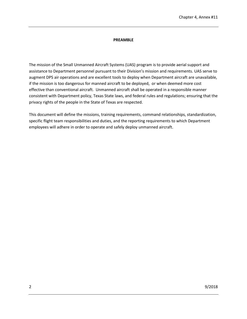#### **PREAMBLE**

The mission of the Small Unmanned Aircraft Systems (UAS) program is to provide aerial support and assistance to Department personnel pursuant to their Division's mission and requirements. UAS serve to augment DPS air operations and are excellent tools to deploy when Department aircraft are unavailable, if the mission is too dangerous for manned aircraft to be deployed, or when deemed more cost effective than conventional aircraft. Unmanned aircraft shall be operated in a responsible manner consistent with Department policy, Texas State laws, and federal rules and regulations; ensuring that the privacy rights of the people in the State of Texas are respected.

This document will define the missions, training requirements, command relationships, standardization, specific flight team responsibilities and duties, and the reporting requirements to which Department employees will adhere in order to operate and safely deploy unmanned aircraft.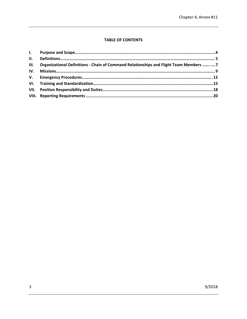### **TABLE OF CONTENTS**

|     | III. Organizational Definitions - Chain of Command Relationships and Flight Team Members   7 |  |
|-----|----------------------------------------------------------------------------------------------|--|
| IV. |                                                                                              |  |
|     |                                                                                              |  |
|     |                                                                                              |  |
|     |                                                                                              |  |
|     |                                                                                              |  |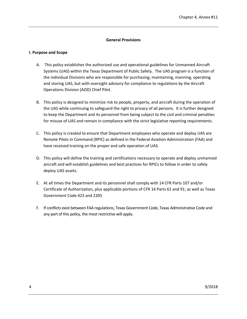#### **General Provisions**

#### <span id="page-4-0"></span>**I. Purpose and Scope**

- A. This policy establishes the authorized use and operational guidelines for Unmanned Aircraft Systems (UAS) within the Texas Department of Public Safety. The UAS program is a function of the individual Divisions who are responsible for purchasing, maintaining, manning, operating and storing UAS, but with oversight advisory for compliance to regulations by the Aircraft Operations Division (AOD) Chief Pilot.
- B. This policy is designed to minimize risk to people, property, and aircraft during the operation of the UAS while continuing to safeguard the right to privacy of all persons. It is further designed to keep the Department and its personnel from being subject to the civil and criminal penalties for misuse of UAS and remain in compliance with the strict legislative reporting requirements.
- C. This policy is created to ensure that Department employees who operate and deploy UAS are Remote Pilots in Command (RPIC) as defined in the Federal Aviation Administration (FAA) and have received training on the proper and safe operation of UAS.
- D. This policy will define the training and certifications necessary to operate and deploy unmanned aircraft and will establish guidelines and best practices for RPICs to follow in order to safely deploy UAS assets.
- E. At all times the Department and its personnel shall comply with 14 CFR Parts 107 and/or Certificate of Authorization, plus applicable portions of CFR 14 Parts 61 and 91; as well as Texas Government Code 423 and 2205
- F. If conflicts exist between FAA regulations, Texas Government Code, Texas Administrative Code and any part of this policy, the most restrictive will apply.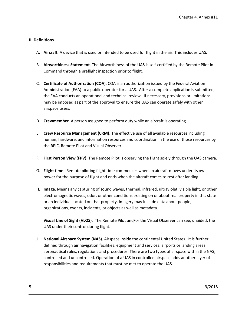#### <span id="page-5-0"></span>**II. Definitions**

- A. **Aircraft**. A device that is used or intended to be used for flight in the air. This includes UAS.
- B. **Airworthiness Statement**. The Airworthiness of the UAS is self-certified by the Remote Pilot in Command through a preflight inspection prior to flight.
- C. **Certificate of Authorization (COA)**. COA is an authorization issued by the Federal Aviation Administration (FAA) to a public operator for a UAS. After a complete application is submitted, the FAA conducts an operational and technical review. If necessary, provisions or limitations may be imposed as part of the approval to ensure the UAS can operate safely with other airspace users.
- D. **Crewmember**. A person assigned to perform duty while an aircraft is operating.
- E. **Crew Resource Management (CRM)**. The effective use of all available resources including human, hardware, and information resources and coordination in the use of those resources by the RPIC, Remote Pilot and Visual Observer.
- F. **First Person View (FPV)**. The Remote Pilot is observing the flight solely through the UAS camera.
- G. **Flight time**. Remote piloting flight time commences when an aircraft moves under its own power for the purpose of flight and ends when the aircraft comes to rest after landing.
- H. **Image**. Means any capturing of sound waves, thermal, infrared, ultraviolet, visible light, or other electromagnetic waves, odor, or other conditions existing on or about real property in this state or an individual located on that property. Imagery may include data about people, organizations, events, incidents, or objects as well as metadata.
- I. **Visual Line of Sight (VLOS)**. The Remote Pilot and/or the Visual Observer can see, unaided, the UAS under their control during flight.
- J. **National Airspace System (NAS).** Airspace inside the continental United States. It is further defined through air navigation facilities, equipment and services, airports or landing areas, aeronautical rules, regulations and procedures. There are two types of airspace within the NAS, controlled and uncontrolled. Operation of a UAS in controlled airspace adds another layer of responsibilities and requirements that must be met to operate the UAS.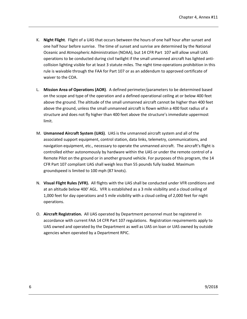- K. **Night Flight**. Flight of a UAS that occurs between the hours of one half hour after sunset and one half hour before sunrise. The time of sunset and sunrise are determined by the National Oceanic and Atmospheric Administration (NOAA), but 14 CFR Part 107 will allow small UAS operations to be conducted during civil twilight if the small unmanned aircraft has lighted anticollision lighting visible for at least 3 statute miles. The night time-operations prohibition in this rule is waivable through the FAA for Part 107 or as an addendum to approved certificate of waiver to the COA.
- L. **Mission Area of Operations (AOR)**. A defined perimeter/parameters to be determined based on the scope and type of the operation and a defined operational ceiling at or below 400 feet above the ground. The altitude of the small unmanned aircraft cannot be higher than 400 feet above the ground, unless the small unmanned aircraft is flown within a 400 foot radius of a structure and does not fly higher than 400 feet above the structure's immediate uppermost limit.
- M. **Unmanned Aircraft System (UAS)**. UAS is the unmanned aircraft system and all of the associated support equipment, control station, data links, telemetry, communications, and navigation equipment, etc., necessary to operate the unmanned aircraft. The aircraft's flight is controlled either autonomously by hardware within the UAS or under the remote control of a Remote Pilot on the ground or in another ground vehicle. For purposes of this program, the 14 CFR Part 107 compliant UAS shall weigh less than 55 pounds fully loaded. Maximum groundspeed is limited to 100 mph (87 knots).
- N. **Visual Flight Rules (VFR).** All flights with the UAS shall be conducted under VFR conditions and at an altitude below 400' AGL. VFR is established as a 3 mile visibility and a cloud ceiling of 1,000 feet for day operations and 5 mile visibility with a cloud ceiling of 2,000 feet for night operations.
- O. **Aircraft Registration.** All UAS operated by Department personnel must be registered in accordance with current FAA 14 CFR Part 107 regulations. Registration requirements apply to UAS owned and operated by the Department as well as UAS on loan or UAS owned by outside agencies when operated by a Department RPIC.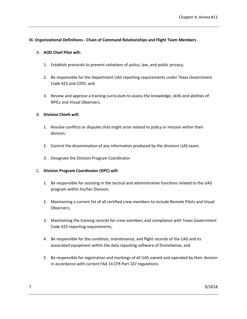#### **III. Organizational Definitions - Chain of Command Relationships and Flight Team Members**

#### A. **AOD Chief Pilot will:**

- 1. Establish protocols to prevent violations of policy, law, and public privacy;
- 2. Be responsible for the Department UAS reporting requirements under Texas Government Code 423 and 2205; and
- 3. Review and approve a training curriculum to assess the knowledge, skills and abilities of RPICs and Visual Observers.

#### B. **Division Chiefs will:**

- 1. Resolve conflicts or disputes that might arise related to policy or mission within their division;
- 2. Control the dissemination of any information produced by the divisions UAS team;
- 3. Designate the Division Program Coordinator

#### C. **Division Program Coordinator (DPC) will:**

- 1. Be responsible for assisting in the tactical and administrative functions related to the UAS program within his/her Division;
- 2. Maintaining a current list of all certified crew members to include Remote Pilots and Visual Observers;
- 3. Maintaining the training records for crew members and compliance with Texas Government Code 423 reporting requirements;
- 4. Be responsible for the condition, maintenance, and flight records of the UAS and its associated equipment within the data reporting software of DroneSense; and
- 5. Be responsible for registration and markings of all UAS owned and operated by their division in accordance with current FAA 14 CFR Part 107 regulations.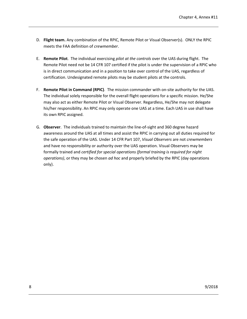- D. **Flight team.** Any combination of the RPIC, Remote Pilot or Visual Observer(s). ONLY the RPIC meets the FAA definition of *crewmember*.
- E. **Remote Pilot**. The individual exercising *pilot at the controls* over the UAS during flight. The Remote Pilot need not be 14 CFR 107 certified if the pilot is under the supervision of a RPIC who is in direct communication and in a position to take over control of the UAS, regardless of certification. Undesignated remote pilots may be student pilots at the controls.
- F. **Remote Pilot in Command (RPIC)**. The mission commander with on-site authority for the UAS. The individual solely responsible for the overall flight operations for a specific mission. He/She may also act as either Remote Pilot or Visual Observer. Regardless, He/She may not delegate his/her responsibility. An RPIC may only operate one UAS at a time. Each UAS in use shall have its own RPIC assigned.
- G. **Observer**. The individuals trained to maintain the line-of-sight and 360 degree hazard awareness around the UAS at all times and assist the RPIC in carrying out all duties required for the safe operation of the UAS. Under 14 CFR Part 107, *Visual Observers* are not *crewmembers* and have no responsibility or authority over the UAS operation. Visual Observers may be formally trained and *certified for special operations (formal training is required for night operations)*, or they may be chosen *ad hoc* and properly briefed by the RPIC (day operations only).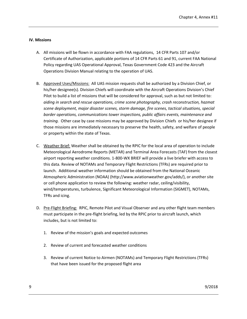#### <span id="page-9-0"></span>**IV. Missions**

- A. All missions will be flown in accordance with FAA regulations, 14 CFR Parts 107 and/or Certificate of Authorization, applicable portions of 14 CFR Parts 61 and 91, current FAA National Policy regarding UAS Operational Approval, Texas Government Code 423 and the Aircraft Operations Division Manual relating to the operation of UAS.
- B. Approved Uses/Missions: All UAS mission requests shall be authorized by a Division Chief, or his/her designee(s). Division Chiefs will coordinate with the Aircraft Operations Division's Chief Pilot to build a list of missions that will be considered for approval, such as but not limited to: *aiding in search and rescue operations, crime scene photography, crash reconstruction, hazmat scene deployment, major disaster scenes, storm damage, fire scenes, tactical situations, special border operations, communications tower inspections, public affairs events, maintenance and training.* Other case by case missions may be approved by Division Chiefs or his/her designee if those missions are immediately necessary to preserve the health, safety, and welfare of people or property within the state of Texas.
- C. Weather Brief: Weather shall be obtained by the RPIC for the local area of operation to include Meteorological Aerodrome Reports (METAR) and Terminal Area Forecasts (TAF) from the closest airport reporting weather conditions. 1-800-WX BRIEF will provide a live briefer with access to this data. Review of NOTAMs and Temporary Flight Restrictions (TFRs) are required prior to launch. Additional weather information should be obtained from the National Oceanic Atmospheric Administration (NOAA) (http://www.aviationweather.gov/adds/), or another site or cell phone application to review the following: weather radar, ceiling/visibility, wind/temperatures, turbulence, Significant Meteorological Information (SIGMET), NOTAMs, TFRs and icing.
- D. Pre-Flight Briefing: RPIC, Remote Pilot and Visual Observer and any other flight team members must participate in the pre-flight briefing, led by the RPIC prior to aircraft launch, which includes, but is not limited to:
	- 1. Review of the mission's goals and expected outcomes
	- 2. Review of current and forecasted weather conditions
	- 3. Review of current Notice to Airmen (NOTAMs) and Temporary Flight Restrictions (TFRs) that have been issued for the proposed flight area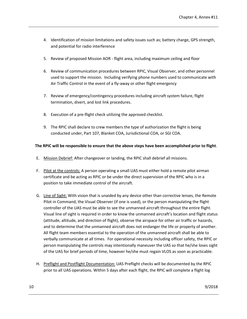- 4. Identification of mission limitations and safety issues such as; battery charge, GPS strength, and potential for radio interference
- 5. Review of proposed Mission AOR flight area, including maximum ceiling and floor
- 6. Review of communication procedures between RPIC, Visual Observer, and other personnel used to support the mission. Including verifying phone numbers used to communicate with Air Traffic Control in the event of a fly-away or other flight emergency
- 7. Review of emergency/contingency procedures including aircraft system failure, flight termination, divert, and lost link procedures.
- 8. Execution of a pre-flight check utilizing the approved checklist.
- 9. The RPIC shall declare to crew members the type of authorization the flight is being conducted under, Part 107, Blanket COA, Jurisdictional COA, or SGI COA.

#### **The RPIC will be responsible to ensure that the above steps have been accomplished prior to flight**.

- E. Mission Debrief: After changeover or landing, the RPIC shall debrief all missions.
- F. Pilot at the controls: A person operating a small UAS must either hold a remote pilot airman certificate and be acting as RPIC or be under the direct supervision of the RPIC who is in a position to take immediate control of the aircraft.
- G. Line of Sight: With vision that is unaided by any device other than corrective lenses, the Remote Pilot in Command, the Visual Observer (if one is used), or the person manipulating the flight controller of the UAS must be able to see the unmanned aircraft throughout the entire flight. Visual line of sight is required in order to know the unmanned aircraft's location and flight status (attitude, altitude, and direction of flight), observe the airspace for other air traffic or hazards, and to determine that the unmanned aircraft does not endanger the life or property of another. All flight team members essential to the operation of the unmanned aircraft shall be able to verbally communicate at all times. For operational necessity including officer safety, the RPIC or person manipulating the controls may intentionally maneuver the UAS so that he/she loses sight of the UAS for brief periods of time, however he/she must regain VLOS as soon as practicable.
- H. Preflight and Postflight Documentation: UAS Preflight checks will be documented by the RPIC prior to all UAS operations. Within 5 days after each flight, the RPIC will complete a flight log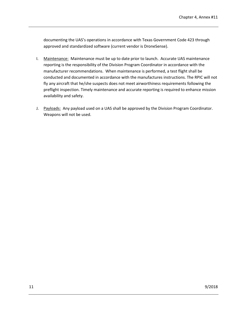documenting the UAS's operations in accordance with Texas Government Code 423 through approved and standardized software (current vendor is DroneSense).

- I. Maintenance: Maintenance must be up to date prior to launch. Accurate UAS maintenance reporting is the responsibility of the Division Program Coordinator in accordance with the manufacturer recommendations. When maintenance is performed, a test flight shall be conducted and documented in accordance with the manufactures instructions. The RPIC will not fly any aircraft that he/she suspects does not meet airworthiness requirements following the preflight inspection. Timely maintenance and accurate reporting is required to enhance mission availability and safety.
- J. Payloads: Any payload used on a UAS shall be approved by the Division Program Coordinator. Weapons will not be used.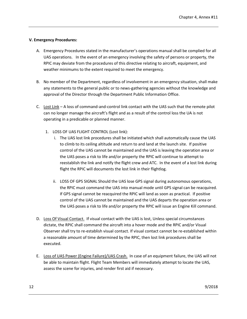#### <span id="page-12-0"></span>**V. Emergency Procedures:**

- A. Emergency Procedures stated in the manufacturer's operations manual shall be complied for all UAS operations. In the event of an emergency involving the safety of persons or property, the RPIC may deviate from the procedures of this directive relating to aircraft, equipment, and weather minimums to the extent required to meet the emergency.
- B. No member of the Department, regardless of involvement in an emergency situation, shall make any statements to the general public or to news-gathering agencies without the knowledge and approval of the Director through the Department Public Information Office.
- C. Lost Link A loss of command-and-control link contact with the UAS such that the remote pilot can no longer manage the aircraft's flight and as a result of the control loss the UA is not operating in a predicable or planned manner.
	- 1. LOSS OF UAS FLIGHT CONTROL (Lost link):
		- i. The UAS lost link procedures shall be initiated which shall automatically cause the UAS to climb to its ceiling altitude and return to and land at the launch site. If positive control of the UAS cannot be maintained and the UAS is leaving the operation area or the UAS poses a risk to life and/or property the RPIC will continue to attempt to reestablish the link and notify the flight crew and ATC. In the event of a lost link during flight the RPIC will documents the lost link in their flightlog.
		- ii. LOSS OF GPS SIGNAL Should the UAS lose GPS signal during autonomous operations, the RPIC must command the UAS into manual mode until GPS signal can be reacquired. If GPS signal cannot be reacquired the RPIC will land as soon as practical. If positive control of the UAS cannot be maintained and the UAS departs the operation area or the UAS poses a risk to life and/or property the RPIC will issue an Engine Kill command.
- D. Loss Of Visual Contact. If visual contact with the UAS is lost, Unless special circumstances dictate, the RPIC shall command the aircraft into a hover mode and the RPIC and/or Visual Observer shall try to re-establish visual contact. If visual contact cannot be re-established within a reasonable amount of time determined by the RPIC, then lost link procedures shall be executed.
- E. Loss of UAS Power (Engine Failure)/UAS Crash. In case of an equipment failure, the UAS will not be able to maintain flight. Flight Team Members will immediately attempt to locate the UAS, assess the scene for injuries, and render first aid if necessary.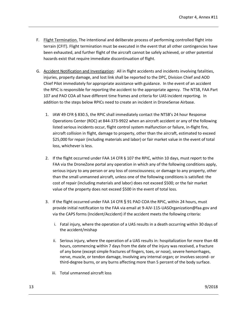- F. Flight Termination. The intentional and deliberate process of performing controlled flight into terrain (CFIT). Flight termination must be executed in the event that all other contingencies have been exhausted, and further flight of the aircraft cannot be safely achieved, or other potential hazards exist that require immediate discontinuation of flight.
- G. Accident Notification and Investigation: All in flight accidents and incidents involving fatalities, injuries, property damage, and lost link shall be reported to the DPC, Division Chief and AOD Chief Pilot immediately for appropriate assistance with guidance. In the event of an accident the RPIC is responsible for reporting the accident to the appropriate agency. The NTSB, FAA Part 107 and PAO COA all have different time frames and criteria for UAS incident reporting. In addition to the steps below RPICs need to create an incident in DroneSense Airbase.
	- 1. IAW 49 CFR § 830.5, the RPIC shall immediately contact the NTSB's 24 hour Response Operations Center (ROC) at 844-373-9922 when an aircraft accident or any of the following listed serious incidents occur, flight control system malfunction or failure, in-flight fire, aircraft collision in flight, damage to property, other than the aircraft, estimated to exceed \$25,000 for repair (including materials and labor) or fair market value in the event of total loss, whichever is less.
	- 2. If the flight occurred under FAA 14 CFR § 107 the RPIC, within 10 days, must report to the FAA via the DroneZone portal any operation in which any of the following conditions apply, serious injury to any person or any loss of consciousness; or damage to any property, other than the small unmanned aircraft, unless one of the following conditions is satisfied: the cost of repair (including materials and labor) does not exceed \$500; or the fair market value of the property does not exceed \$500 in the event of total loss.
	- 3. If the flight occurred under FAA 14 CFR § 91 PAO COA the RPIC, within 24 hours, must provide initial notification to the FAA via email at 9-AJV-115-UASOrganization@faa.gov and via the CAPS forms (Incident/Accident) if the accident meets the following criteria:
		- i. Fatal injury, where the operation of a UAS results in a death occurring within 30 days of the accident/mishap
		- ii. Serious injury, where the operation of a UAS results in: hospitalization for more than 48 hours, commencing within 7 days from the date of the injury was received, a fracture of any bone (except simple fractures of fingers, toes, or nose), severe hemorrhages, nerve, muscle, or tendon damage, Involving any internal organ; or involves second- or third-degree burns, or any burns affecting more than 5 percent of the body surface.
		- iii. Total unmanned aircraft loss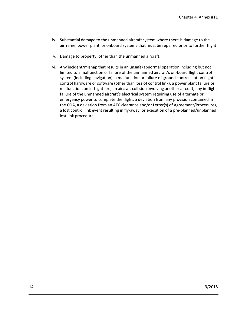- iv. Substantial damage to the unmanned aircraft system where there is damage to the airframe, power plant, or onboard systems that must be repaired prior to further flight
- v. Damage to property, other than the unmanned aircraft.
- <span id="page-14-0"></span>vi. Any incident/mishap that results in an unsafe/abnormal operation including but not limited to a malfunction or failure of the unmanned aircraft's on-board flight control system (including navigation), a malfunction or failure of ground control station flight control hardware or software (other than loss of control link), a power plant failure or malfunction, an in-flight fire, an aircraft collision involving another aircraft, any in-flight failure of the unmanned aircraft's electrical system requiring use of alternate or emergency power to complete the flight, a deviation from any provision contained in the COA, a deviation from an ATC clearance and/or Letter(s) of Agreement/Procedures, a lost control link event resulting in fly-away, or execution of a pre-planned/unplanned lost link procedure.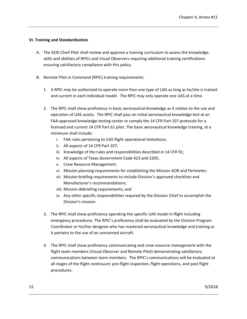#### **VI. Training and Standardization**

- A. The AOD Chief Pilot shall review and approve a training curriculum to assess the knowledge, skills and abilities of RPICs and Visual Observers requiring additional training certifications ensuring satisfactory compliance with this policy.
- B. Remote Pilot in Command (RPIC) training requirements:
	- 1. A RPIC may be authorized to operate more than one type of UAS as long as he/she is trained and current in each individual model. The RPIC may only operate one UAS at a time.
	- 2. The RPIC shall show proficiency in basic aeronautical knowledge as it relates to the use and operation of UAS assets. The RPIC shall pass an initial aeronautical knowledge test at an FAA-approved knowledge testing center or comply the 14 CFR Part 107 protocols for a licensed and current 14 CFR Part 61 pilot. The basic aeronautical knowledge training, at a minimum shall include:
		- i. FAA rules pertaining to UAS flight operational limitations;
		- ii. All aspects of 14 CFR Part 107;
		- iii. Knowledge of the rules and responsibilities described in 14 CFR 91;
		- iv. All aspects of Texas Government Code 423 and 2205;
		- v. Crew Resource Management;
		- vi. Mission planning requirements for establishing the Mission AOR and Perimeter;
		- vii. Mission briefing requirements to include Division's approved checklists and Manufacturer's recommendations;
		- viii. Mission debriefing requirements; and
		- ix. Any other specific responsibilities required by the Division Chief to accomplish the Division's mission.
	- 3. The RPIC shall show proficiency operating the specific UAS model in flight including emergency procedures. The RPIC's proficiency shall be evaluated by the Division Program Coordinator or his/her designee who has mastered aeronautical knowledge and training as it pertains to the use of an unmanned aircraft.
	- 4. The RPIC shall show proficiency communicating and *crew resource management* with the flight team members (Visual Observer and Remote Pilot) demonstrating satisfactory communications between team members. The RPIC's communications will be evaluated at all stages of the flight continuum: pre-flight inspection, flight operations, and post flight procedures.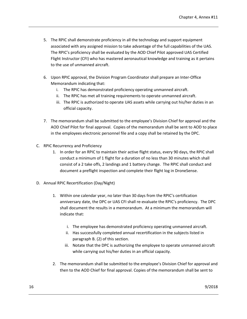- 5. The RPIC shall demonstrate proficiency in all the technology and support equipment associated with any assigned mission to take advantage of the full capabilities of the UAS. The RPIC's proficiency shall be evaluated by the AOD Chief Pilot approved UAS Certified Flight Instructor (CFI) who has mastered aeronautical knowledge and training as it pertains to the use of unmanned aircraft.
- 6. Upon RPIC approval, the Division Program Coordinator shall prepare an Inter-Office Memorandum indicating that:
	- i. The RPIC has demonstrated proficiency operating unmanned aircraft.
	- ii. The RPIC has met all training requirements to operate unmanned aircraft.
	- iii. The RPIC is authorized to operate UAS assets while carrying out his/her duties in an official capacity.
- 7. The memorandum shall be submitted to the employee's Division Chief for approval and the AOD Chief Pilot for final approval. Copies of the memorandum shall be sent to AOD to place in the employees electronic personnel file and a copy shall be retained by the DPC.
- C. RPIC Recurrency and Proficiency
	- 1. In order for an RPIC to maintain their active flight status, every 90 days, the RPIC shall conduct a minimum of 1 flight for a duration of no less than 30 minutes which shall consist of a 2 take offs, 2 landings and 1 battery change. The RPIC shall conduct and document a preflight inspection and complete their flight log in DroneSense.
- D. Annual RPIC Recertification (Day/Night)
	- 1. Within one calendar year, no later than 30 days from the RPIC's certification anniversary date, the DPC or UAS CFI shall re-evaluate the RPIC's proficiency. The DPC shall document the results in a memorandum. At a minimum the memorandum will indicate that:
		- i. The employee has demonstrated proficiency operating unmanned aircraft.
		- ii. Has successfully completed annual recertification in the subjects listed in paragraph B. (2) of this section.
		- iii. Notate that the DPC is authorizing the employee to operate unmanned aircraft while carrying out his/her duties in an official capacity.
	- 2. The memorandum shall be submitted to the employee's Division Chief for approval and then to the AOD Chief for final approval. Copies of the memorandum shall be sent to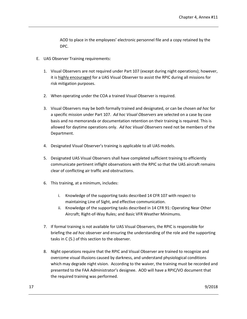AOD to place in the employees' electronic personnel file and a copy retained by the DPC.

- E. UAS Observer Training requirements:
	- 1. Visual Observers are not required under Part 107 (except during night operations); however, it is highly encouraged for a UAS Visual Observer to assist the RPIC during all missions for risk mitigation purposes.
	- 2. When operating under the COA a trained Visual Observer is required.
	- 3. Visual Observers may be both formally trained and designated, or can be chosen *ad hoc* for a specific mission under Part 107. *Ad hoc Visual Observers* are selected on a case by case basis and no memoranda or documentation retention on their training is required. This is allowed for daytime operations only. *Ad hoc Visual Observers* need not be members of the Department.
	- 4. Designated Visual Observer's training is applicable to all UAS models.
	- 5. Designated UAS Visual Observers shall have completed sufficient training to efficiently communicate pertinent inflight observations with the RPIC so that the UAS aircraft remains clear of conflicting air traffic and obstructions.
	- 6. This training, at a minimum, includes:
		- i. Knowledge of the supporting tasks described 14 CFR 107 with respect to maintaining Line of Sight, and effective communication.
		- ii. Knowledge of the supporting tasks described in 14 CFR 91: Operating Near Other Aircraft; Right-of-Way Rules; and Basic VFR Weather Minimums.
	- 7. If formal training is not available for UAS Visual Observers, the RPIC is responsible for briefing the *ad hoc* observer and ensuring the understanding of the role and the supporting tasks in C (5.) of this section to the observer.
	- 8. Night operations require that the RPIC and Visual Observer are trained to recognize and overcome visual illusions caused by darkness, and understand physiological conditions which may degrade night vision. According to the waiver, the training must be recorded and presented to the FAA Administrator's designee. AOD will have a RPIC/VO document that the required training was performed.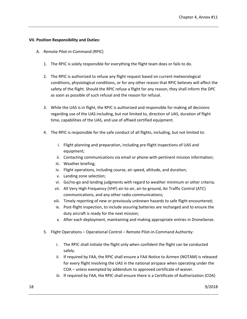#### <span id="page-18-0"></span>**VII. Position Responsibility and Duties:**

- A. Remote Pilot-in-Command (RPIC)
	- 1. The RPIC is solely responsible for everything the flight team does or fails to do.
	- 2. The RPIC is authorized to refuse any flight request based on current meteorological conditions, physiological conditions, or for any other reason that RPIC believes will affect the safety of the flight. Should the RPIC refuse a flight for any reason, they shall inform the DPC as soon as possible of such refusal and the reason for refusal.
	- 3. While the UAS is in flight, the RPIC is authorized and responsible for making all decisions regarding use of the UAS including, but not limited to, direction of UAS, duration of flight time, capabilities of the UAS, and use of affixed certified equipment.
	- 4. The RPIC is responsible for the safe conduct of all flights, including, but not limited to:
		- i. Flight planning and preparation, including pre-flight inspections of UAS and equipment;
		- ii. Contacting communications via email or phone with pertinent mission information;
		- iii. Weather briefing;
		- iv. Flight operations, including course, air speed, altitude, and duration;
		- v. Landing zone selection;
		- vi. Go/no-go and landing judgments with regard to weather minimum or other criteria;
		- vii. All Very High Frequency (VHF) air-to-air, air-to-ground, Air Traffic Control (ATC) communications, and any other radio communications;
		- viii. Timely reporting of new or previously unknown hazards to safe flight encountered;
		- ix. Post-flight inspection, to include assuring batteries are recharged and to ensure the duty aircraft is ready for the next mission;
		- x. After each deployment, maintaining and making appropriate entries in DroneSense.
	- 5. Flight Operations Operational Control Remote Pilot-in-Command Authority:
		- i. The RPIC shall initiate the flight only when confident the flight can be conducted safely.
		- ii. If required by FAA, the RPIC shall ensure a FAA Notice to Airmen (NOTAM) is released for every flight involving the UAS in the national airspace when operating under the COA – unless exempted by addendum to approved certificate of waiver.
		- iii. If required by FAA, the RPIC shall ensure there is a Certificate of Authorization (COA)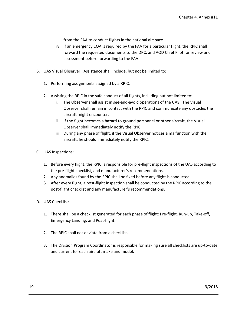from the FAA to conduct flights in the national airspace.

- iv. If an emergency COA is required by the FAA for a particular flight, the RPIC shall forward the requested documents to the DPC, and AOD Chief Pilot for review and assessment before forwarding to the FAA.
- B. UAS Visual Observer:Assistance shall include, but not be limited to:
	- 1. Performing assignments assigned by a RPIC;
	- 2. Assisting the RPIC in the safe conduct of all flights, including but not limited to:
		- i. The Observer shall assist in see-and-avoid operations of the UAS. The Visual Observer shall remain in contact with the RPIC and communicate any obstacles the aircraft might encounter.
		- ii. If the flight becomes a hazard to ground personnel or other aircraft, the Visual Observer shall immediately notify the RPIC.
		- iii. During any phase of flight, if the Visual Observer notices a malfunction with the aircraft, he should immediately notify the RPIC.
- C. UAS Inspections:
	- 1. Before every flight, the RPIC is responsible for pre-flight inspections of the UAS according to the pre-flight checklist, and manufacturer's recommendations.
	- 2. Any anomalies found by the RPIC shall be fixed before any flight is conducted.
	- 3. After every flight, a post-flight inspection shall be conducted by the RPIC according to the post-flight checklist and any manufacturer's recommendations.
- D. UAS Checklist:
	- 1. There shall be a checklist generated for each phase of flight: Pre-flight, Run-up, Take-off, Emergency Landing, and Post-flight.
	- 2. The RPIC shall not deviate from a checklist.
	- 3. The Division Program Coordinator is responsible for making sure all checklists are up-to-date and current for each aircraft make and model.